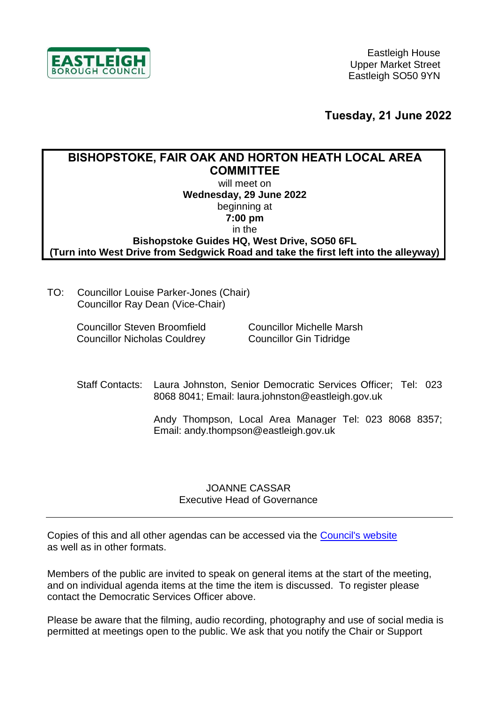

**Tuesday, 21 June 2022**

## **BISHOPSTOKE, FAIR OAK AND HORTON HEATH LOCAL AREA COMMITTEE** will meet on **Wednesday, 29 June 2022** beginning at **7:00 pm** in the **Bishopstoke Guides HQ, West Drive, SO50 6FL (Turn into West Drive from Sedgwick Road and take the first left into the alleyway)**

TO: Councillor Louise Parker-Jones (Chair) Councillor Ray Dean (Vice-Chair)

> Councillor Steven Broomfield Councillor Nicholas Couldrey

Councillor Michelle Marsh Councillor Gin Tidridge

Staff Contacts: Laura Johnston, Senior Democratic Services Officer; Tel: 023 8068 8041; Email: laura.johnston@eastleigh.gov.uk

> Andy Thompson, Local Area Manager Tel: 023 8068 8357; Email: andy.thompson@eastleigh.gov.uk

## JOANNE CASSAR Executive Head of Governance

Copies of this and all other agendas can be accessed via the [Council's website](https://meetings.eastleigh.gov.uk/) as well as in other formats.

Members of the public are invited to speak on general items at the start of the meeting, and on individual agenda items at the time the item is discussed. To register please contact the Democratic Services Officer above.

Please be aware that the filming, audio recording, photography and use of social media is permitted at meetings open to the public. We ask that you notify the Chair or Support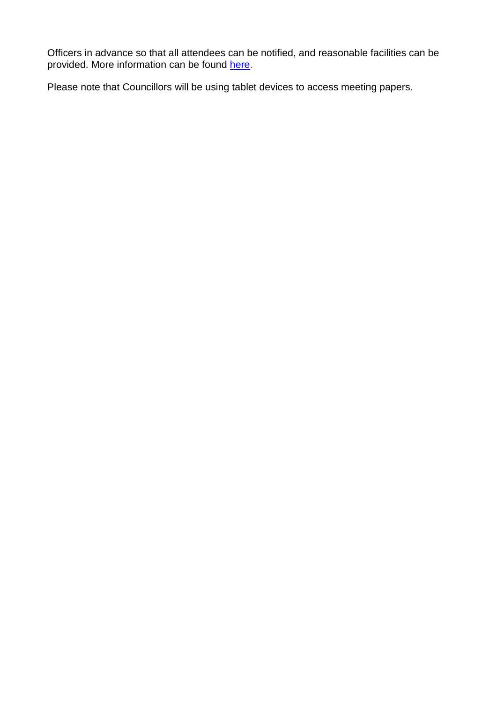Officers in advance so that all attendees can be notified, and reasonable facilities can be provided. More information can be found [here.](https://www.eastleigh.gov.uk/media/11419/recording-photography-and-filming-of-ebc-meetings-final.pdf)

Please note that Councillors will be using tablet devices to access meeting papers.